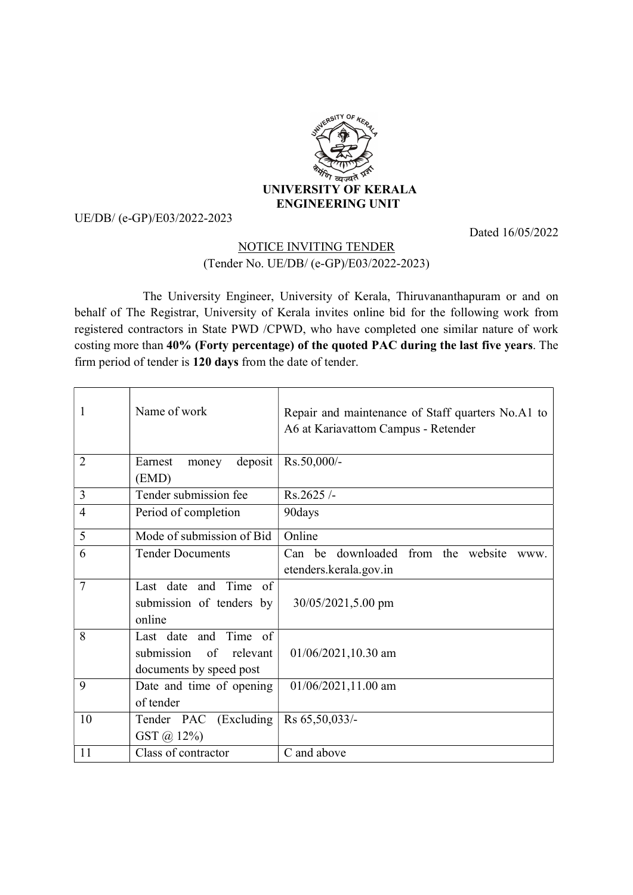

## UE/DB/ (e-GP)/E03/2022-2023

Dated 16/05/2022

## NOTICE INVITING TENDER (Tender No. UE/DB/ (e-GP)/E03/2022-2023)

 The University Engineer, University of Kerala, Thiruvananthapuram or and on behalf of The Registrar, University of Kerala invites online bid for the following work from registered contractors in State PWD /CPWD, who have completed one similar nature of work costing more than 40% (Forty percentage) of the quoted PAC during the last five years. The firm period of tender is 120 days from the date of tender.

| 1              | Name of work                                                               | Repair and maintenance of Staff quarters No.A1 to<br>A6 at Kariavattom Campus - Retender |
|----------------|----------------------------------------------------------------------------|------------------------------------------------------------------------------------------|
| $\overline{2}$ | deposit<br>Earnest<br>money<br>(EMD)                                       | Rs.50,000/-                                                                              |
| 3              | Tender submission fee                                                      | Rs.2625/-                                                                                |
| $\overline{4}$ | Period of completion                                                       | 90days                                                                                   |
| 5              | Mode of submission of Bid                                                  | Online                                                                                   |
| 6              | <b>Tender Documents</b>                                                    | Can be downloaded from the website<br>www.<br>etenders.kerala.gov.in                     |
| 7              | Last date and Time of<br>submission of tenders by<br>online                | 30/05/2021,5.00 pm                                                                       |
| 8              | Last date and Time of<br>submission of relevant<br>documents by speed post | $01/06/2021, 10.30$ am                                                                   |
| 9              | Date and time of opening<br>of tender                                      | $01/06/2021, 11.00$ am                                                                   |
| 10             | Tender PAC (Excluding<br>GST @ 12%)                                        | Rs 65,50,033/-                                                                           |
| 11             | Class of contractor                                                        | C and above                                                                              |